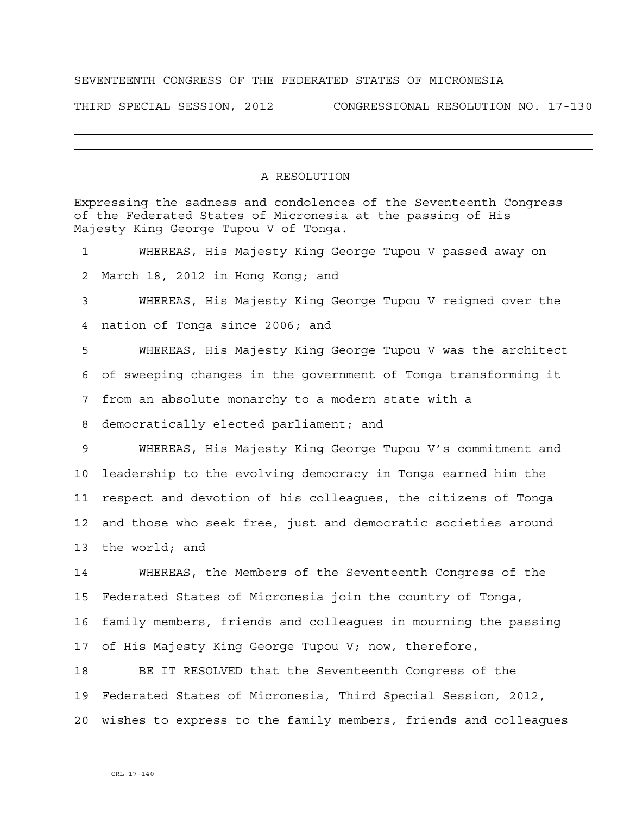## SEVENTEENTH CONGRESS OF THE FEDERATED STATES OF MICRONESIA

THIRD SPECIAL SESSION, 2012 CONGRESSIONAL RESOLUTION NO. 17-130

## A RESOLUTION

Expressing the sadness and condolences of the Seventeenth Congress of the Federated States of Micronesia at the passing of His Majesty King George Tupou V of Tonga. 1 WHEREAS, His Majesty King George Tupou V passed away on 2 March 18, 2012 in Hong Kong; and 3 WHEREAS, His Majesty King George Tupou V reigned over the 4 nation of Tonga since 2006; and 5 WHEREAS, His Majesty King George Tupou V was the architect 6 of sweeping changes in the government of Tonga transforming it 7 from an absolute monarchy to a modern state with a 8 democratically elected parliament; and 9 WHEREAS, His Majesty King George Tupou V's commitment and 10 leadership to the evolving democracy in Tonga earned him the 11 respect and devotion of his colleagues, the citizens of Tonga 12 and those who seek free, just and democratic societies around 13 the world; and 14 WHEREAS, the Members of the Seventeenth Congress of the 15 Federated States of Micronesia join the country of Tonga, 16 family members, friends and colleagues in mourning the passing 17 of His Majesty King George Tupou V; now, therefore,

18 BE IT RESOLVED that the Seventeenth Congress of the 19 Federated States of Micronesia, Third Special Session, 2012, 20 wishes to express to the family members, friends and colleagues